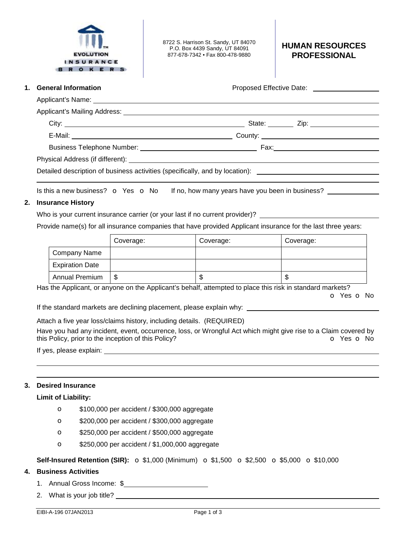

8722 S. Harrison St. Sandy, UT 84070 P.O. Box 4439 Sandy, UT 84091 877-678-7342 • Fax 800-478-9880

#### **HUMAN RESOURCES PROFESSIONAL**

| 1. General Information | Proposed Effective Date: ____________________                                                       |
|------------------------|-----------------------------------------------------------------------------------------------------|
|                        |                                                                                                     |
|                        |                                                                                                     |
|                        |                                                                                                     |
|                        |                                                                                                     |
|                        |                                                                                                     |
|                        |                                                                                                     |
|                        | Detailed description of business activities (specifically, and by location): ______________________ |

Is this a new business?  $\circ$  Yes  $\circ$  No If no, how many years have you been in business?  $\frac{1}{\cdot}$ 

# **2. Insurance History**

Who is your current insurance carrier (or your last if no current provider)?

Provide name(s) for all insurance companies that have provided Applicant insurance for the last three years:

|                        | Coverage: | Coverage: | Coverage: |
|------------------------|-----------|-----------|-----------|
| Company Name           |           |           |           |
| <b>Expiration Date</b> |           |           |           |
| <b>Annual Premium</b>  | ง         | ۰D        | J         |

Has the Applicant, or anyone on the Applicant's behalf, attempted to place this risk in standard markets? o Yes o No

If the standard markets are declining placement, please explain why: \_

Attach a five year loss/claims history, including details. (REQUIRED) Have you had any incident, event, occurrence, loss, or Wrongful Act which might give rise to a Claim covered by this Policy, prior to the inception of this Policy? **o** Yes **o** No

If yes, please explain:

# **3. Desired Insurance**

 

### **Limit of Liability:**

- o \$100,000 per accident / \$300,000 aggregate
- o \$200,000 per accident / \$300,000 aggregate
- o \$250,000 per accident / \$500,000 aggregate
- o \$250,000 per accident / \$1,000,000 aggregate

**Self-Insured Retention (SIR):** o \$1,000 (Minimum) o \$1,500 o \$2,500 o \$5,000 o \$10,000

### **4. Business Activities**

- 1. Annual Gross Income: \$
- 2. What is your job title?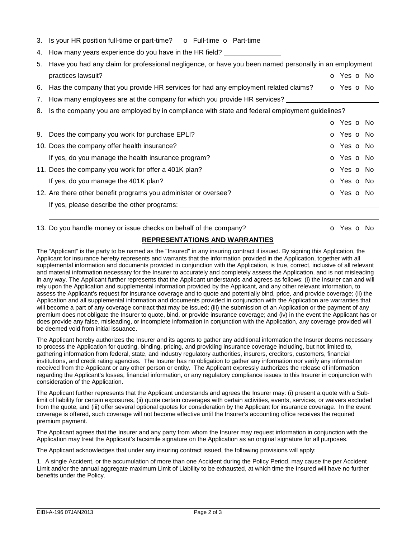|  |  | 3. Is your HR position full-time or part-time? |  |  | <b>o</b> Full-time <b>o</b> Part-time |
|--|--|------------------------------------------------|--|--|---------------------------------------|
|  |  |                                                |  |  |                                       |

4. How many years experience do you have in the HR field?

| 5. Have you had any claim for professional negligence, or have you been named personally in an employment                                                                                                                          |            |
|------------------------------------------------------------------------------------------------------------------------------------------------------------------------------------------------------------------------------------|------------|
| practices lawsuit?                                                                                                                                                                                                                 | o Yes o No |
| $\bullet$ if a contract the contract of the contract of the contract of the contract of the contract of the contract of the contract of the contract of the contract of the contract of the contract of the contract of the contra |            |

- 6. Has the company that you provide HR services for had any employment related claims?  $\bullet$  Yes  $\bullet$  No
- 7. How many employees are at the company for which you provide HR services?
- 8. Is the company you are employed by in compliance with state and federal employment guidelines?

|                                                                 | o Yes o No               |  |
|-----------------------------------------------------------------|--------------------------|--|
| 9. Does the company you work for purchase EPLI?                 | O Yes O No               |  |
| 10. Does the company offer health insurance?                    | O Yes O No               |  |
| If yes, do you manage the health insurance program?             | O Yes O No               |  |
| 11. Does the company you work for offer a 401K plan?            | O Yes O No               |  |
| If yes, do you manage the 401K plan?                            | O Yes O No               |  |
| 12. Are there other benefit programs you administer or oversee? | <b>O</b> Yes <b>O</b> No |  |
| If yes, please describe the other programs:                     |                          |  |

#### 13. Do you handle money or issue checks on behalf of the company? **o Social Company**? **o Yes o No**

# **REPRESENTATIONS AND WARRANTIES**

The "Applicant" is the party to be named as the "Insured" in any insuring contract if issued. By signing this Application, the Applicant for insurance hereby represents and warrants that the information provided in the Application, together with all supplemental information and documents provided in conjunction with the Application, is true, correct, inclusive of all relevant and material information necessary for the Insurer to accurately and completely assess the Application, and is not misleading in any way. The Applicant further represents that the Applicant understands and agrees as follows: (i) the Insurer can and will rely upon the Application and supplemental information provided by the Applicant, and any other relevant information, to assess the Applicant's request for insurance coverage and to quote and potentially bind, price, and provide coverage; (ii) the Application and all supplemental information and documents provided in conjunction with the Application are warranties that will become a part of any coverage contract that may be issued; (iii) the submission of an Application or the payment of any premium does not obligate the Insurer to quote, bind, or provide insurance coverage; and (iv) in the event the Applicant has or does provide any false, misleading, or incomplete information in conjunction with the Application, any coverage provided will be deemed void from initial issuance.

The Applicant hereby authorizes the Insurer and its agents to gather any additional information the Insurer deems necessary to process the Application for quoting, binding, pricing, and providing insurance coverage including, but not limited to, gathering information from federal, state, and industry regulatory authorities, insurers, creditors, customers, financial institutions, and credit rating agencies. The Insurer has no obligation to gather any information nor verify any information received from the Applicant or any other person or entity. The Applicant expressly authorizes the release of information regarding the Applicant's losses, financial information, or any regulatory compliance issues to this Insurer in conjunction with consideration of the Application.

The Applicant further represents that the Applicant understands and agrees the Insurer may: (i) present a quote with a Sublimit of liability for certain exposures, (ii) quote certain coverages with certain activities, events, services, or waivers excluded from the quote, and (iii) offer several optional quotes for consideration by the Applicant for insurance coverage. In the event coverage is offered, such coverage will not become effective until the Insurer's accounting office receives the required premium payment.

The Applicant agrees that the Insurer and any party from whom the Insurer may request information in conjunction with the Application may treat the Applicant's facsimile signature on the Application as an original signature for all purposes.

The Applicant acknowledges that under any insuring contract issued, the following provisions will apply:

1. A single Accident, or the accumulation of more than one Accident during the Policy Period, may cause the per Accident Limit and/or the annual aggregate maximum Limit of Liability to be exhausted, at which time the Insured will have no further benefits under the Policy.